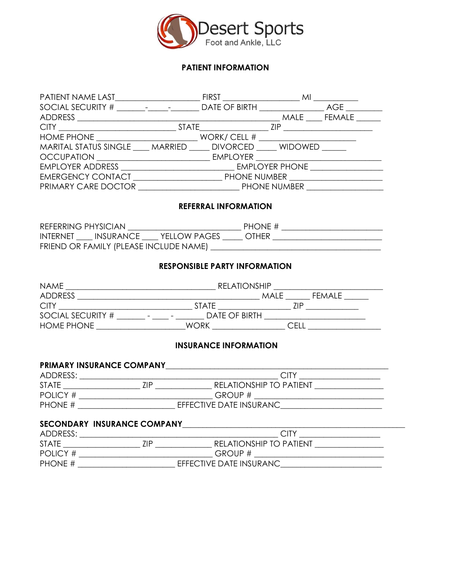

## **PATIENT INFORMATION**

| HOME PHONE $\_\_\_\_\_\_\_\_\_\_\_\_\_\_\_\_\_\_\_\_\_\_$              |  |  |
|------------------------------------------------------------------------|--|--|
| MARITAL STATUS SINGLE ____ MARRIED _____ DIVORCED _____ WIDOWED ______ |  |  |
|                                                                        |  |  |
|                                                                        |  |  |
| EMERGENCY CONTACT PHONE NUMBER                                         |  |  |
|                                                                        |  |  |

## **REFERRAL INFORMATION**

| REFERRING PHYSICIAN |                                        |                                 | PHONE #      |  |
|---------------------|----------------------------------------|---------------------------------|--------------|--|
|                     |                                        | INTERNET INSURANCE YELLOW PAGES | <b>OTHER</b> |  |
|                     | FRIEND OR FAMILY (PLEASE INCLUDE NAME) |                                 |              |  |

#### **RESPONSIBLE PARTY INFORMATION**

| <b>NAME</b>       | <b>RELATIONSHIP</b>                                                   |                        |
|-------------------|-----------------------------------------------------------------------|------------------------|
| <b>ADDRESS</b>    |                                                                       | <b>FFMALF</b><br>MAI F |
| <b>CITY</b>       | <b>STATE</b>                                                          | 7IP                    |
| SOCIAL SECURITY # | DATE OF BIRTH<br>$\overline{\phantom{a}}$<br>$\overline{\phantom{0}}$ |                        |
| <b>HOME PHONE</b> | WORK                                                                  | ∩E∟                    |

## **INSURANCE INFORMATION**

#### PRIMARY INSURANCE COMPANY

| ADDRESS:     |     |                                |
|--------------|-----|--------------------------------|
| <b>STATE</b> | 7IP | <b>RELATIONSHIP TO PATIENT</b> |
| POLICY #     |     | GROUP #                        |
| PHONE #      |     | EFFECTIVE DATE INSURANC        |

# **SECONDARY INSURANCE COMPANY**\_\_\_\_\_\_\_\_\_\_\_\_\_\_\_\_\_\_\_\_\_\_\_\_\_\_\_\_\_\_\_\_\_\_\_\_\_\_\_\_\_\_\_\_\_\_\_\_\_\_\_\_\_\_\_

| ADDRESS:     |                                       |
|--------------|---------------------------------------|
| <b>STATE</b> | <b>RELATIONSHIP TO PATIENT</b><br>7IP |
| POLICY #     | GROUP#                                |
| PHONE $#$    | EFFECTIVE DATE INSURANC               |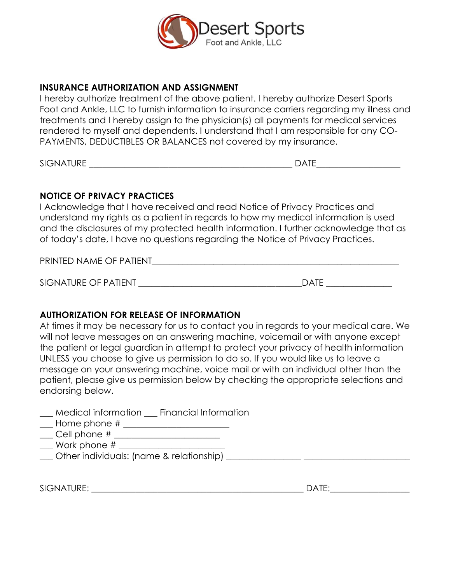

# **INSURANCE AUTHORIZATION AND ASSIGNMENT**

I hereby authorize treatment of the above patient. I hereby authorize Desert Sports Foot and Ankle, LLC to furnish information to insurance carriers regarding my illness and treatments and I hereby assign to the physician(s) all payments for medical services rendered to myself and dependents. I understand that I am responsible for any CO-PAYMENTS, DEDUCTIBLES OR BALANCES not covered by my insurance.

SIGNATURE \_\_\_\_\_\_\_\_\_\_\_\_\_\_\_\_\_\_\_\_\_\_\_\_\_\_\_\_\_\_\_\_\_\_\_\_\_\_\_\_\_\_\_\_\_\_ DATE\_\_\_\_\_\_\_\_\_\_\_\_\_\_\_\_\_\_\_

# **NOTICE OF PRIVACY PRACTICES**

I Acknowledge that I have received and read Notice of Privacy Practices and understand my rights as a patient in regards to how my medical information is used and the disclosures of my protected health information. I further acknowledge that as of today's date, I have no questions regarding the Notice of Privacy Practices.

PRINTED NAME OF PATIENT

SIGNATURE OF PATIENT \_\_\_\_\_\_\_\_\_\_\_\_\_\_\_\_\_\_\_\_\_\_\_\_\_\_\_\_\_\_\_\_\_\_\_\_\_DATE \_\_\_\_\_\_\_\_\_\_\_\_\_\_\_

# **AUTHORIZATION FOR RELEASE OF INFORMATION**

At times it may be necessary for us to contact you in regards to your medical care. We will not leave messages on an answering machine, voicemail or with anyone except the patient or legal guardian in attempt to protect your privacy of health information UNLESS you choose to give us permission to do so. If you would like us to leave a message on your answering machine, voice mail or with an individual other than the patient, please give us permission below by checking the appropriate selections and endorsing below.

- \_\_\_ Medical information \_\_\_ Financial Information
- \_\_\_ Home phone # \_\_\_\_\_\_\_\_\_\_\_\_\_\_\_\_\_\_\_\_\_\_\_\_
- \_\_\_ Cell phone # \_\_\_\_\_\_\_\_\_\_\_\_\_\_\_\_\_\_\_\_\_\_\_\_
- $\Box$  Work phone  $\#$   $\Box$
- Other individuals: (name & relationship) **Quarter** individuals: (name & relationship)

SIGNATURE: \_\_\_\_\_\_\_\_\_\_\_\_\_\_\_\_\_\_\_\_\_\_\_\_\_\_\_\_\_\_\_\_\_\_\_\_\_\_\_\_\_\_\_\_\_\_\_\_ DATE:\_\_\_\_\_\_\_\_\_\_\_\_\_\_\_\_\_\_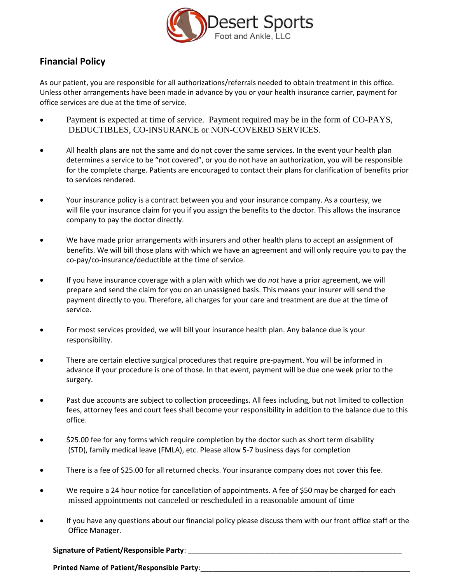

# **Financial Policy**

As our patient, you are responsible for all authorizations/referrals needed to obtain treatment in this office. Unless other arrangements have been made in advance by you or your health insurance carrier, payment for office services are due at the time of service.

- Payment is expected at time of service. Payment required may be in the form of CO-PAYS, DEDUCTIBLES, CO-INSURANCE or NON-COVERED SERVICES.
- All health plans are not the same and do not cover the same services. In the event your health plan determines a service to be "not covered", or you do not have an authorization, you will be responsible for the complete charge. Patients are encouraged to contact their plans for clarification of benefits prior to services rendered.
- Your insurance policy is a contract between you and your insurance company. As a courtesy, we will file your insurance claim for you if you assign the benefits to the doctor. This allows the insurance company to pay the doctor directly.
- We have made prior arrangements with insurers and other health plans to accept an assignment of benefits. We will bill those plans with which we have an agreement and will only require you to pay the co‐pay/co‐insurance/deductible at the time of service.
- If you have insurance coverage with a plan with which we do *not* have a prior agreement, we will prepare and send the claim for you on an unassigned basis. This means your insurer will send the payment directly to you. Therefore, all charges for your care and treatment are due at the time of service.
- For most services provided, we will bill your insurance health plan. Any balance due is your responsibility.
- There are certain elective surgical procedures that require pre‐payment. You will be informed in advance if your procedure is one of those. In that event, payment will be due one week prior to the surgery.
- Past due accounts are subject to collection proceedings. All fees including, but not limited to collection fees, attorney fees and court fees shall become your responsibility in addition to the balance due to this office.
- \$25.00 fee for any forms which require completion by the doctor such as short term disability (STD), family medical leave (FMLA), etc. Please allow 5-7 business days for completion
- There is a fee of \$25.00 for all returned checks. Your insurance company does not cover this fee.
- We require a 24 hour notice for cancellation of appointments. A fee of \$50 may be charged for each missed appointments not canceled or rescheduled in a reasonable amount of time
- If you have any questions about our financial policy please discuss them with our front office staff or the Office Manager.

## **Signature of Patient/Responsible Party**: \_\_\_\_\_\_\_\_\_\_\_\_\_\_\_\_\_\_\_\_\_\_\_\_\_\_\_\_\_\_\_\_\_\_\_\_\_\_\_\_\_\_\_\_\_\_\_\_\_\_\_\_\_

Printed Name of Patient/Responsible Party: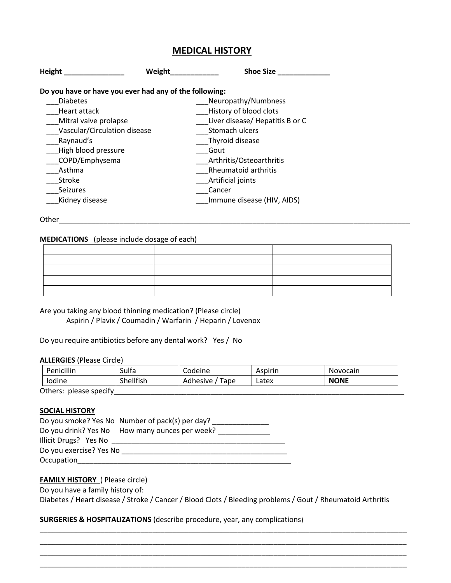## **MEDICAL HISTORY**

| Height                                                 | Weight | <b>Shoe Size</b>                |
|--------------------------------------------------------|--------|---------------------------------|
| Do you have or have you ever had any of the following: |        |                                 |
| <b>Diabetes</b>                                        |        | Neuropathy/Numbness             |
| Heart attack                                           |        | History of blood clots          |
| Mitral valve prolapse                                  |        | Liver disease/ Hepatitis B or C |
| Vascular/Circulation disease                           |        | Stomach ulcers                  |
| Raynaud's                                              |        | Thyroid disease                 |
| High blood pressure                                    |        | Gout                            |
| COPD/Emphysema                                         |        | Arthritis/Osteoarthritis        |
| Asthma                                                 |        | Rheumatoid arthritis            |
| <b>Stroke</b>                                          |        | Artificial joints               |
| <b>Seizures</b>                                        |        | Cancer                          |
| Kidney disease                                         |        | Immune disease (HIV, AIDS)      |
|                                                        |        |                                 |

Other\_\_\_\_\_\_\_\_\_\_\_\_\_\_\_\_\_\_\_\_\_\_\_\_\_\_\_\_\_\_\_\_\_\_\_\_\_\_\_\_\_\_\_\_\_\_\_\_\_\_\_\_\_\_\_\_\_\_\_\_\_\_\_\_\_\_\_\_\_\_\_\_\_\_\_\_\_\_\_\_\_\_\_\_\_\_\_

#### **MEDICATIONS** (please include dosage of each)

|     | $\overline{\phantom{a}}$ |  |
|-----|--------------------------|--|
|     |                          |  |
| - 1 | $\overline{\phantom{a}}$ |  |
|     |                          |  |
|     |                          |  |

Are you taking any blood thinning medication? (Please circle) Aspirin / Plavix / Coumadin / Warfarin / Heparin / Lovenox

Do you require antibiotics before any dental work? Yes / No

#### **ALLERGIES** (Please Circle)

| <b>Penicillin</b>      | Sulfa     | Codeine             | Aspirin | Novocain    |
|------------------------|-----------|---------------------|---------|-------------|
| lodine                 | Shellfish | 'Tape<br>Adhesive / | Latex   | <b>NONE</b> |
| Others: please specify |           |                     |         |             |

#### **SOCIAL HISTORY**

|                         | Do you smoke? Yes No Number of pack(s) per day? |
|-------------------------|-------------------------------------------------|
|                         | Do you drink? Yes No How many ounces per week?  |
| Illicit Drugs? Yes No   |                                                 |
| Do you exercise? Yes No |                                                 |
| Occupation              |                                                 |

#### **FAMILY HISTORY** ( Please circle)

Do you have a family history of:

Diabetes / Heart disease / Stroke / Cancer / Blood Clots / Bleeding problems / Gout / Rheumatoid Arthritis

\_\_\_\_\_\_\_\_\_\_\_\_\_\_\_\_\_\_\_\_\_\_\_\_\_\_\_\_\_\_\_\_\_\_\_\_\_\_\_\_\_\_\_\_\_\_\_\_\_\_\_\_\_\_\_\_\_\_\_\_\_\_\_\_\_\_\_\_\_\_\_\_\_\_\_\_\_\_\_\_\_\_\_\_\_\_\_\_\_\_\_ \_\_\_\_\_\_\_\_\_\_\_\_\_\_\_\_\_\_\_\_\_\_\_\_\_\_\_\_\_\_\_\_\_\_\_\_\_\_\_\_\_\_\_\_\_\_\_\_\_\_\_\_\_\_\_\_\_\_\_\_\_\_\_\_\_\_\_\_\_\_\_\_\_\_\_\_\_\_\_\_\_\_\_\_\_\_\_\_\_\_\_ \_\_\_\_\_\_\_\_\_\_\_\_\_\_\_\_\_\_\_\_\_\_\_\_\_\_\_\_\_\_\_\_\_\_\_\_\_\_\_\_\_\_\_\_\_\_\_\_\_\_\_\_\_\_\_\_\_\_\_\_\_\_\_\_\_\_\_\_\_\_\_\_\_\_\_\_\_\_\_\_\_\_\_\_\_\_\_\_\_\_\_ \_\_\_\_\_\_\_\_\_\_\_\_\_\_\_\_\_\_\_\_\_\_\_\_\_\_\_\_\_\_\_\_\_\_\_\_\_\_\_\_\_\_\_\_\_\_\_\_\_\_\_\_\_\_\_\_\_\_\_\_\_\_\_\_\_\_\_\_\_\_\_\_\_\_\_\_\_\_\_\_\_\_\_\_\_\_\_\_\_\_\_

## **SURGERIES & HOSPITALIZATIONS** (describe procedure, year, any complications)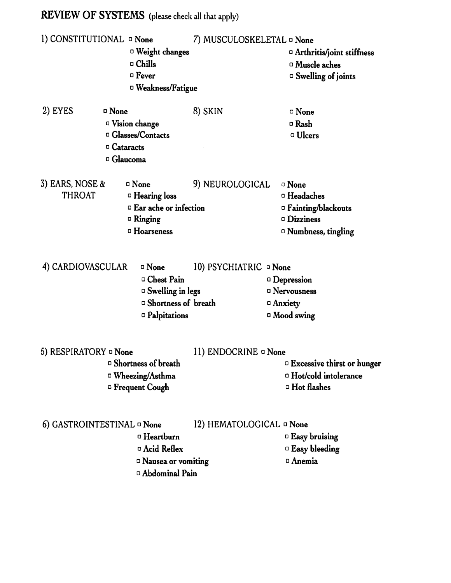# **REVIEW OF SYSTEMS** (please check all that apply)

| I) CONSTITUTIONAL <b>D</b> None  | <sup>D</sup> Weight changes<br>□ Chills<br>$\footnotesize\begin{array}{c}\Box\ \text{Fever}\end{array}$<br><sup>D</sup> Weakness/Fatigue | 7) MUSCULOSKELETAL ¤ None | $\Box$ Arthritis/joint stiffness<br><sup>o</sup> Muscle aches<br><sup>o</sup> Swelling of joints                                 |
|----------------------------------|------------------------------------------------------------------------------------------------------------------------------------------|---------------------------|----------------------------------------------------------------------------------------------------------------------------------|
| 2) EYES                          | □ None<br><sup>o</sup> Vision change<br><sup>n</sup> Glasses/Contacts<br><sup>o</sup> Cataracts<br><sup>o</sup> Glaucoma                 | 8) SKIN                   | $\Box$ None<br>□ Rash<br><sup>o</sup> Ulcers                                                                                     |
| 3) EARS, NOSE &<br><b>THROAT</b> | <sup>o</sup> None<br><sup>o</sup> Hearing loss<br><sup>□</sup> Ear ache or infection<br>$\Box$ Ringing<br><sup>o</sup> Hoarseness        | 9) NEUROLOGICAL           | <sup>□</sup> None<br><sup>o</sup> Headaches<br>□ Fainting/blackouts<br><sup>o</sup> Dizziness<br><sup>o</sup> Numbness, tingling |
| 4) CARDIOVASCULAR                | <sup>o</sup> None<br>□ Chest Pain<br><sup>o</sup> Swelling in legs<br><sup>o</sup> Shortness of breath<br>□ Palpitations                 | 10) PSYCHIATRIC ¤ None    | <sup>o</sup> Depression<br><sup>o</sup> Nervousness<br><sup>o</sup> Anxiety<br>□ Mood swing                                      |
| 5) RESPIRATORY ¤ None            | <sup>o</sup> Shortness of breath<br>□ Wheezing/Asthma<br><sup>D</sup> Frequent Cough                                                     | 11) ENDOCRINE ¤ None      | <sup>D</sup> Excessive thirst or hunger<br><sup>o</sup> Hot/cold intolerance<br><sup>o</sup> Hot flashes                         |
| 6) GASTROINTESTINAL ¤ None       | $\Box$ Heartburn<br><sup>o</sup> Acid Reflex<br><sup>o</sup> Nausea or vomiting<br><sup>D</sup> Abdominal Pain                           | 12) HEMATOLOGICAL ¤ None  | <sup>D</sup> Easy bruising<br>$\Box$ Easy bleeding<br><sup>o</sup> Anemia                                                        |